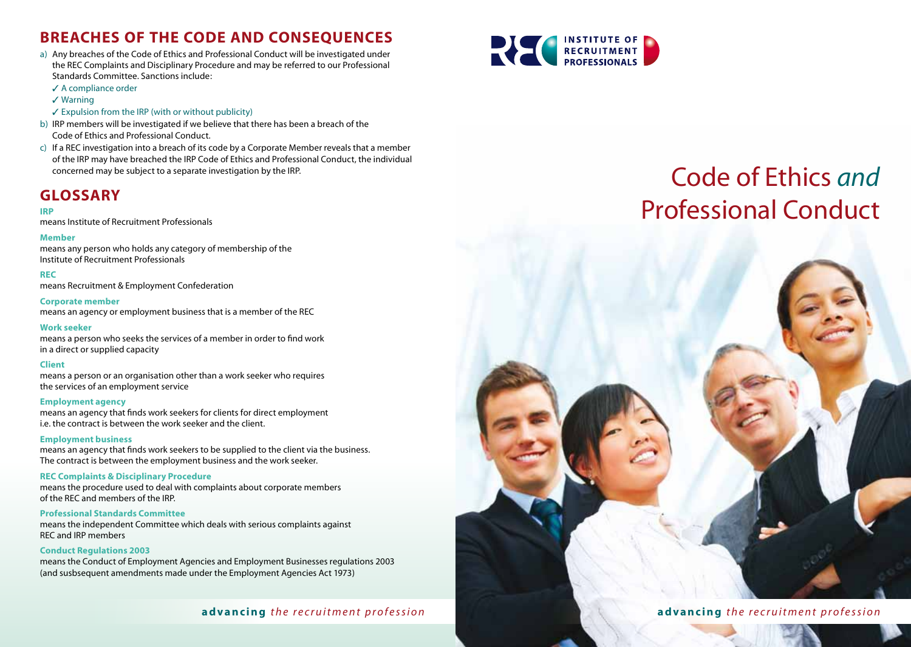# **Breaches of the Code and Consequences**

- a) Any breaches of the Code of Ethics and Professional Conduct will be investigated under the REC Complaints and Disciplinary Procedure and may be referred to our Professional Standards Committee. Sanctions include:
	- $\angle$  A compliance order
	- $\checkmark$  Warning
	- $\checkmark$  Expulsion from the IRP (with or without publicity)
- b) IRP members will be investigated if we believe that there has been a breach of the Code of Ethics and Professional Conduct.
- c) If a REC investigation into a breach of its code by a Corporate Member reveals that a member of the IRP may have breached the IRP Code of Ethics and Professional Conduct, the individual concerned may be subject to a separate investigation by the IRP.

## **Glossary**

#### **IRP**

means Institute of Recruitment Professionals

#### **Member**

means any person who holds any category of membership of the Institute of Recruitment Professionals

#### **REC**

means Recruitment & Employment Confederation

#### **Corporate member**

means an agency or employment business that is a member of the REC

#### **Work seeker**

means a person who seeks the services of a member in order to find work in a direct or supplied capacity

#### **Client**

means a person or an organisation other than a work seeker who requires the services of an employment service

#### **Employment agency**

means an agency that finds work seekers for clients for direct employment i.e. the contract is between the work seeker and the client.

#### **Employment business**

means an agency that finds work seekers to be supplied to the client via the business. The contract is between the employment business and the work seeker.

#### **REC Complaints & Disciplinary Procedure**

means the procedure used to deal with complaints about corporate members of the REC and members of the IRP.

#### **Professional Standards Committee**

means the independent Committee which deals with serious complaints against REC and IRP members

#### **Conduct Regulations 2003**

means the Conduct of Employment Agencies and Employment Businesses regulations 2003 (and susbsequent amendments made under the Employment Agencies Act 1973)



# Code of Ethics *and*  Professional Conduct